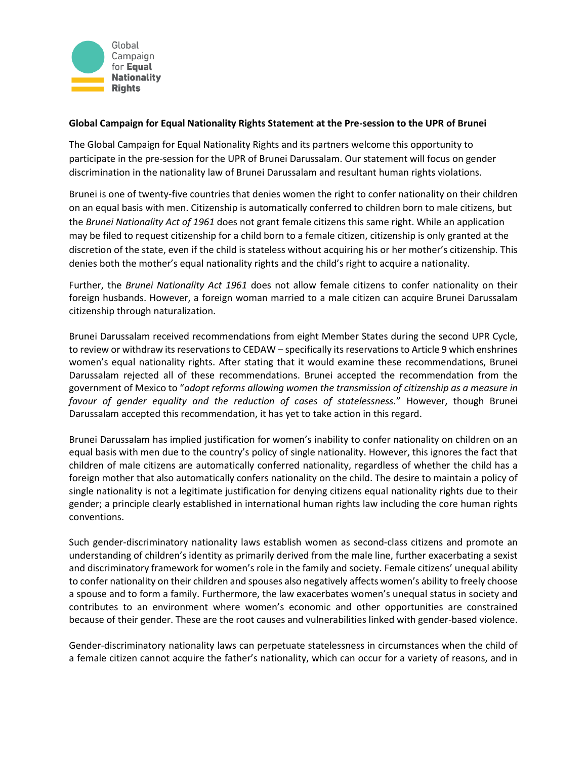

## **Global Campaign for Equal Nationality Rights Statement at the Pre-session to the UPR of Brunei**

The Global Campaign for Equal Nationality Rights and its partners welcome this opportunity to participate in the pre-session for the UPR of Brunei Darussalam. Our statement will focus on gender discrimination in the nationality law of Brunei Darussalam and resultant human rights violations.

Brunei is one of twenty-five countries that denies women the right to confer nationality on their children on an equal basis with men. Citizenship is automatically conferred to children born to male citizens, but the *Brunei Nationality Act of 1961* does not grant female citizens this same right. While an application may be filed to request citizenship for a child born to a female citizen, citizenship is only granted at the discretion of the state, even if the child is stateless without acquiring his or her mother's citizenship. This denies both the mother's equal nationality rights and the child's right to acquire a nationality.

Further, the *Brunei Nationality Act 1961* does not allow female citizens to confer nationality on their foreign husbands. However, a foreign woman married to a male citizen can acquire Brunei Darussalam citizenship through naturalization.

Brunei Darussalam received recommendations from eight Member States during the second UPR Cycle, to review or withdraw its reservations to CEDAW – specifically its reservations to Article 9 which enshrines women's equal nationality rights. After stating that it would examine these recommendations, Brunei Darussalam rejected all of these recommendations. Brunei accepted the recommendation from the government of Mexico to "*adopt reforms allowing women the transmission of citizenship as a measure in favour of gender equality and the reduction of cases of statelessness.*" However, though Brunei Darussalam accepted this recommendation, it has yet to take action in this regard.

Brunei Darussalam has implied justification for women's inability to confer nationality on children on an equal basis with men due to the country's policy of single nationality. However, this ignores the fact that children of male citizens are automatically conferred nationality, regardless of whether the child has a foreign mother that also automatically confers nationality on the child. The desire to maintain a policy of single nationality is not a legitimate justification for denying citizens equal nationality rights due to their gender; a principle clearly established in international human rights law including the core human rights conventions.

Such gender-discriminatory nationality laws establish women as second-class citizens and promote an understanding of children's identity as primarily derived from the male line, further exacerbating a sexist and discriminatory framework for women's role in the family and society. Female citizens' unequal ability to confer nationality on their children and spouses also negatively affects women's ability to freely choose a spouse and to form a family. Furthermore, the law exacerbates women's unequal status in society and contributes to an environment where women's economic and other opportunities are constrained because of their gender. These are the root causes and vulnerabilities linked with gender-based violence.

Gender-discriminatory nationality laws can perpetuate statelessness in circumstances when the child of a female citizen cannot acquire the father's nationality, which can occur for a variety of reasons, and in